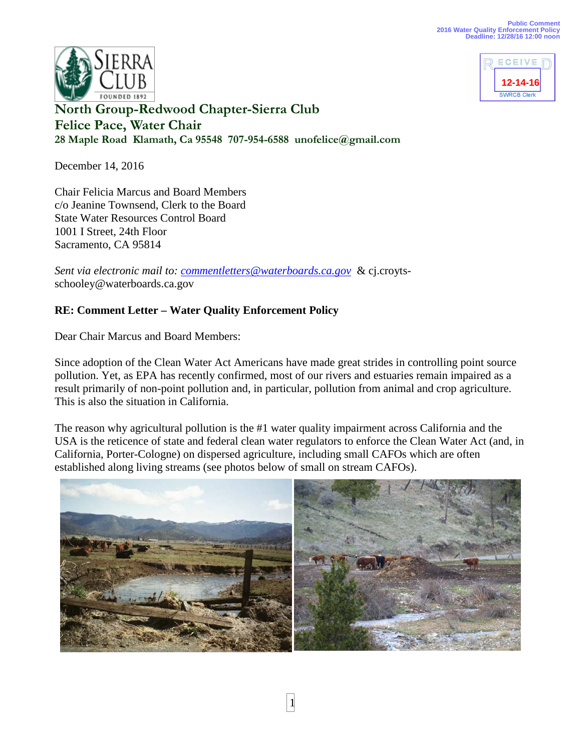



**North Group-Redwood Chapter-Sierra Club Felice Pace, Water Chair 28 Maple Road Klamath, Ca 95548 707-954-6588 unofelice@gmail.com** 

December 14, 2016

Chair Felicia Marcus and Board Members c/o Jeanine Townsend, Clerk to the Board State Water Resources Control Board 1001 I Street, 24th Floor Sacramento, CA 95814

*Sent via electronic mail to: [commentletters@waterboards.ca.gov](mailto:commentletters@waterboards.ca.gov)* & cj.croytsschooley@waterboards.ca.gov

## **RE: Comment Letter – Water Quality Enforcement Policy**

Dear Chair Marcus and Board Members:

Since adoption of the Clean Water Act Americans have made great strides in controlling point source pollution. Yet, as EPA has recently confirmed, most of our rivers and estuaries remain impaired as a result primarily of non-point pollution and, in particular, pollution from animal and crop agriculture. This is also the situation in California.

The reason why agricultural pollution is the #1 water quality impairment across California and the USA is the reticence of state and federal clean water regulators to enforce the Clean Water Act (and, in California, Porter-Cologne) on dispersed agriculture, including small CAFOs which are often established along living streams (see photos below of small on stream CAFOs).

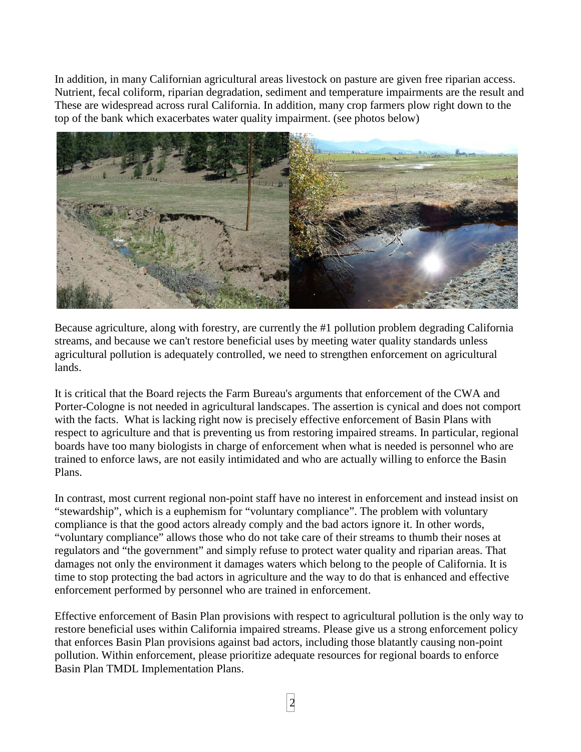In addition, in many Californian agricultural areas livestock on pasture are given free riparian access. Nutrient, fecal coliform, riparian degradation, sediment and temperature impairments are the result and These are widespread across rural California. In addition, many crop farmers plow right down to the top of the bank which exacerbates water quality impairment. (see photos below)



Because agriculture, along with forestry, are currently the #1 pollution problem degrading California streams, and because we can't restore beneficial uses by meeting water quality standards unless agricultural pollution is adequately controlled, we need to strengthen enforcement on agricultural lands.

It is critical that the Board rejects the Farm Bureau's arguments that enforcement of the CWA and Porter-Cologne is not needed in agricultural landscapes. The assertion is cynical and does not comport with the facts. What is lacking right now is precisely effective enforcement of Basin Plans with respect to agriculture and that is preventing us from restoring impaired streams. In particular, regional boards have too many biologists in charge of enforcement when what is needed is personnel who are trained to enforce laws, are not easily intimidated and who are actually willing to enforce the Basin Plans.

In contrast, most current regional non-point staff have no interest in enforcement and instead insist on "stewardship", which is a euphemism for "voluntary compliance". The problem with voluntary compliance is that the good actors already comply and the bad actors ignore it. In other words, "voluntary compliance" allows those who do not take care of their streams to thumb their noses at regulators and "the government" and simply refuse to protect water quality and riparian areas. That damages not only the environment it damages waters which belong to the people of California. It is time to stop protecting the bad actors in agriculture and the way to do that is enhanced and effective enforcement performed by personnel who are trained in enforcement.

Effective enforcement of Basin Plan provisions with respect to agricultural pollution is the only way to restore beneficial uses within California impaired streams. Please give us a strong enforcement policy that enforces Basin Plan provisions against bad actors, including those blatantly causing non-point pollution. Within enforcement, please prioritize adequate resources for regional boards to enforce Basin Plan TMDL Implementation Plans.